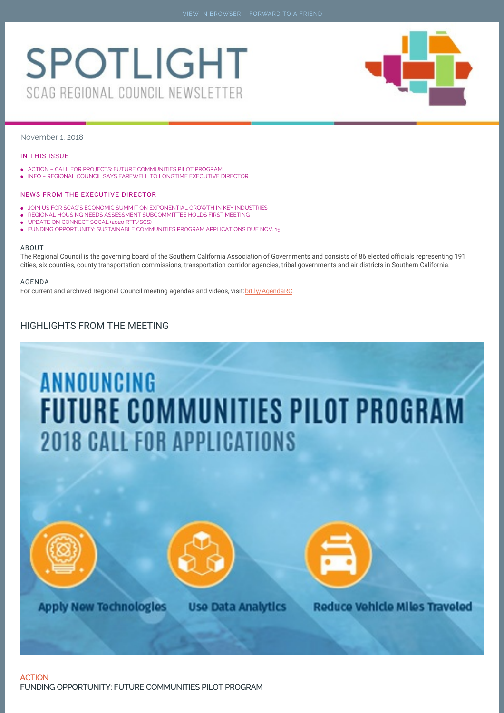# **SPOTLIGHT** SCAG REGIONAL COUNCIL NEWSLETTER



# November 1, 2018

#### IN THIS ISSUE

- ACTION CALL FOR PROJECTS: FUTURE [COMMUNITIES](http://newsletter.scag.ca.gov/spotlight/2018/nov18rc.htm#H01) PILOT PROGRAM
- **INFO REGIONAL COUNCIL SAYS FAREWELL TO LONGTIME [EXECUTIVE](http://newsletter.scag.ca.gov/spotlight/2018/nov18rc.htm#H02) DIRECTOR**

#### NEWS FROM THE EXECUTIVE DIRECTOR

- JOIN US FOR SCAG'S ECONOMIC SUMMIT ON [EXPONENTIAL](http://newsletter.scag.ca.gov/spotlight/2018/nov18rc.htm#ED01) GROWTH IN KEY INDUSTRIES
- $\bullet$ REGIONAL HOUSING NEEDS ASSESSMENT [SUBCOMMITTEE](http://newsletter.scag.ca.gov/spotlight/2018/nov18rc.htm#ED02) HOLDS FIRST MEETING
- UPDATE ON [CONNECT](http://newsletter.scag.ca.gov/spotlight/2018/nov18rc.htm#ED03) SOCAL (2020 RTP/SCS)
- FUNDING [OPPORTUNITY:](http://newsletter.scag.ca.gov/spotlight/2018/nov18rc.htm#ED04) SUSTAINABLE COMMUNITIES PROGRAM APPLICATIONS DUE NOV. 15

#### **ABOUT**

The Regional Council is the governing board of the Southern California Association of Governments and consists of 86 elected officials representing 191 cities, six counties, county transportation commissions, transportation corridor agencies, tribal governments and air districts in Southern California.

#### AGENDA

For current and archived Regional Council meeting agendas and videos, visit: [bit.ly/AgendaRC](http://scag.ca.gov/committees/Pages/CommitteeL2/Granicus.aspx?CID=1).

# HIGHLIGHTS FROM THE MEETING

# ANNOUNCING **FUTURE COMMUNITIES PILOT PROGRAM 2018 CALL FOR APPLICATIONS**



**Apply New Technologies** 



**Use Data Analytics** 



Reduce Vehicle Miles Traveled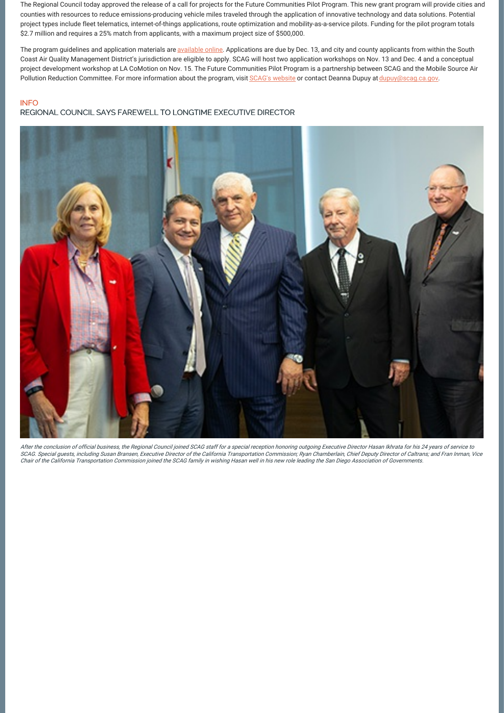The Regional Council today approved the release of a call for projects for the Future Communities Pilot Program. This new grant program will provide cities and counties with resources to reduce emissions-producing vehicle miles traveled through the application of innovative technology and data solutions. Potential project types include fleet telematics, internet-of-things applications, route optimization and mobility-as-a-service pilots. Funding for the pilot program totals \$2.7 million and requires a 25% match from applicants, with a maximum project size of \$500,000.

The program guidelines and application materials are [available](http://scag.ca.gov/opportunities/Pages/Grants.aspx#fcpp) online. Applications are due by Dec. 13, and city and county applicants from within the South Coast Air Quality Management District's jurisdiction are eligible to apply. SCAG will host two application workshops on Nov. 13 and Dec. 4 and a conceptual project development workshop at LA CoMotion on Nov. 15. The Future Communities Pilot Program is a partnership between SCAG and the Mobile Source Air Pollution Reduction Committee. For more information about the program, visit SCAG's [website](http://scag.ca.gov/opportunities/Pages/Grants.aspx#fcpp) or contact Deanna Dupuy at dupuy@scaq.ca.gov.

# INFO

# REGIONAL COUNCIL SAYS FAREWELL TO LONGTIME EXECUTIVE DIRECTOR



After the conclusion of official business, the Regional Council joined SCAG staff for a special reception honoring outgoing Executive Director Hasan Ikhrata for his 24 years of service to SCAG. Special guests, including Susan Bransen, Executive Director of the California Transportation Commission; Ryan Chamberlain, Chief Deputy Director of Caltrans; and Fran Inman, Vice Chair of the California Transportation Commission joined the SCAG family in wishing Hasan well in his new role leading the San Diego Association of Governments.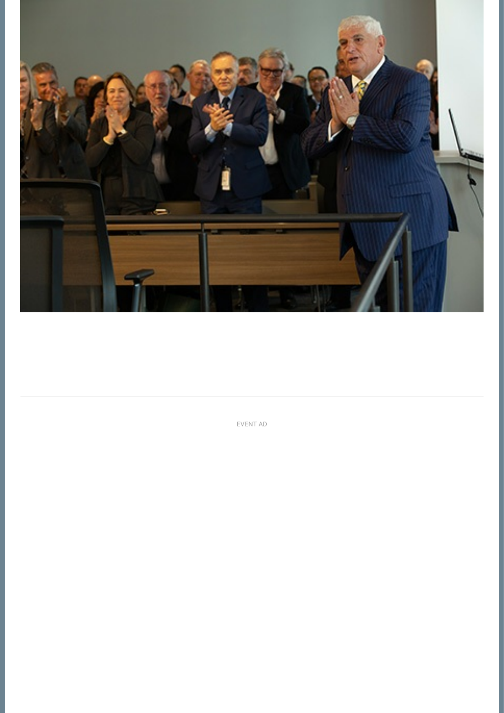

EVENT AD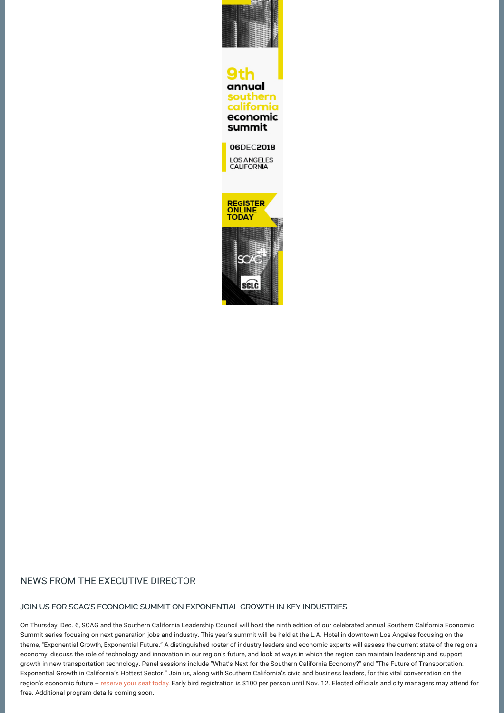

# NEWS FROM THE EXECUTIVE DIRECTOR

# JOIN US FOR SCAG'S ECONOMIC SUMMIT ON EXPONENTIAL GROWTH IN KEY INDUSTRIES

On Thursday, Dec. 6, SCAG and the Southern California Leadership Council will host the ninth edition of our celebrated annual Southern California Economic Summit series focusing on next generation jobs and industry. This year's summit will be held at the L.A. Hotel in downtown Los Angeles focusing on the theme, "Exponential Growth, Exponential Future." A distinguished roster of industry leaders and economic experts will assess the current state of the region's economy, discuss the role of technology and innovation in our region's future, and look at ways in which the region can maintain leadership and support growth in new transportation technology. Panel sessions include "What's Next for the Southern California Economy?" and "The Future of Transportation: Exponential Growth in California's Hottest Sector." Join us, along with Southern California's civic and business leaders, for this vital conversation on the region's economic future - [reserve](http://scag.ca.gov/calendar/Pages/Events%20Registration/Registration.aspx?calid=36&&&&RID=) your seat today. Early bird registration is \$100 per person until Nov. 12. Elected officials and city managers may attend for free. Additional program details coming soon.